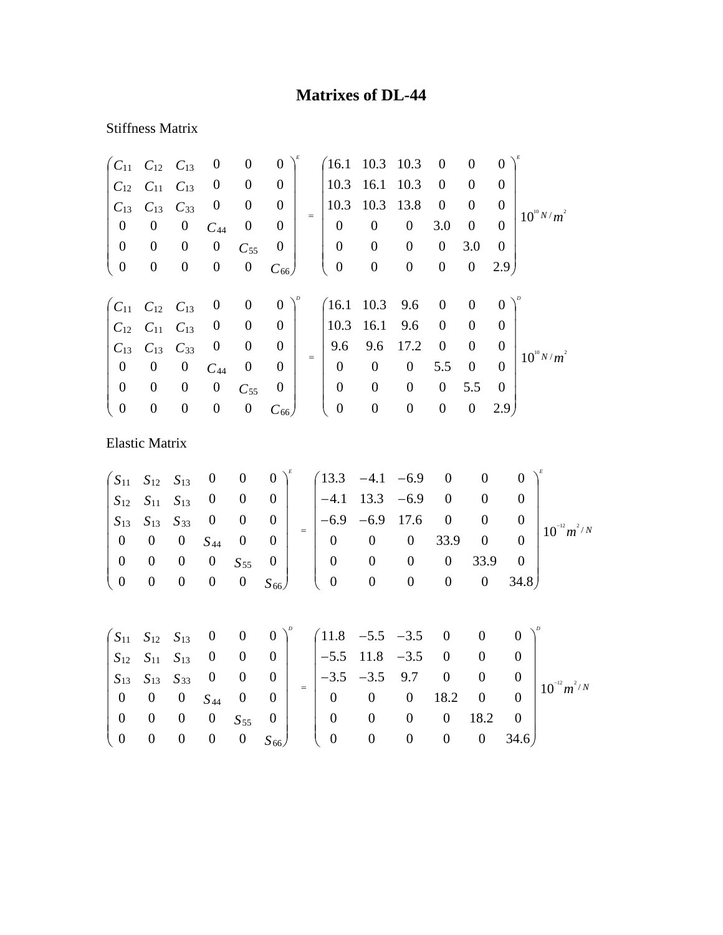## **Matrixes of DL-44**

## Stiffness Matrix

| $C_{11}$              | $C_{12}$           | $C_{13}$         | $\boldsymbol{0}$ | $\boldsymbol{0}$ | $\boldsymbol{0}$ |           | 16.1             | 10.3             | 10.3             | $\boldsymbol{0}$ | $\boldsymbol{0}$ | $\overline{0}$   |                  |                  |
|-----------------------|--------------------|------------------|------------------|------------------|------------------|-----------|------------------|------------------|------------------|------------------|------------------|------------------|------------------|------------------|
| $C_{12}$              | $C_{11}$           | $C_{13}$         | $\boldsymbol{0}$ | $\boldsymbol{0}$ | $\boldsymbol{0}$ |           | 10.3             | 16.1             | 10.3             | $\boldsymbol{0}$ | $\boldsymbol{0}$ | $\boldsymbol{0}$ |                  |                  |
| $C_{13}$              | $C_{13}$           | $C_{33}$         | $\boldsymbol{0}$ | $\boldsymbol{0}$ | $\overline{0}$   |           | 10.3             | 10.3             | 13.8             | $\boldsymbol{0}$ | $\boldsymbol{0}$ | $\overline{0}$   |                  |                  |
| $\boldsymbol{0}$      | $\boldsymbol{0}$   | $\boldsymbol{0}$ | $C_{44}$         | $\boldsymbol{0}$ | $\boldsymbol{0}$ | $=$       | $\boldsymbol{0}$ | $\boldsymbol{0}$ | $\boldsymbol{0}$ | 3.0              | $\boldsymbol{0}$ | $\overline{0}$   |                  | $10^{10} N/m^2$  |
| $\boldsymbol{0}$      | $\boldsymbol{0}$   | $\boldsymbol{0}$ | $\boldsymbol{0}$ | $C_{55}$         | $\boldsymbol{0}$ |           | $\boldsymbol{0}$ | $\boldsymbol{0}$ | $\boldsymbol{0}$ | $\boldsymbol{0}$ | 3.0              | $\overline{0}$   |                  |                  |
| $\boldsymbol{0}$      | $\boldsymbol{0}$   | $\boldsymbol{0}$ | $\boldsymbol{0}$ | $\boldsymbol{0}$ | $C_{66}$         |           | $\boldsymbol{0}$ | $\boldsymbol{0}$ | $\boldsymbol{0}$ | $\boldsymbol{0}$ | $\boldsymbol{0}$ | 2.9              |                  |                  |
| $C_{11}$              | $C_{12}$           | $C_{13}$         | $\boldsymbol{0}$ | $\boldsymbol{0}$ | $\boldsymbol{0}$ |           | (16.1)           | 10.3             | 9.6              | $\boldsymbol{0}$ | $\boldsymbol{0}$ | $\boldsymbol{0}$ |                  |                  |
| $C_{12}$              | $\mathcal{C}_{11}$ | $C_{13}$         | $\boldsymbol{0}$ | $\boldsymbol{0}$ | $\boldsymbol{0}$ |           | 10.3             | 16.1             | 9.6              | $\boldsymbol{0}$ | $\boldsymbol{0}$ | $\boldsymbol{0}$ |                  |                  |
| $C_{13}$              | $C_{13}$           | $C_{33}$         | $\boldsymbol{0}$ | $\boldsymbol{0}$ | $\boldsymbol{0}$ |           | 9.6              | 9.6              | 17.2             | $\boldsymbol{0}$ | $\boldsymbol{0}$ | $\boldsymbol{0}$ |                  |                  |
| $\boldsymbol{0}$      | $\boldsymbol{0}$   | $\boldsymbol{0}$ | $C_{44}$         | $\boldsymbol{0}$ | $\boldsymbol{0}$ | $\quad =$ | $\boldsymbol{0}$ | $\boldsymbol{0}$ | $\boldsymbol{0}$ | 5.5              | $\boldsymbol{0}$ | $\overline{0}$   |                  | $10^{10} N/m^2$  |
| $\boldsymbol{0}$      | $\boldsymbol{0}$   | $\boldsymbol{0}$ | $\boldsymbol{0}$ | $C_{55}$         | $\boldsymbol{0}$ |           | $\boldsymbol{0}$ | $\boldsymbol{0}$ | $\boldsymbol{0}$ | $\boldsymbol{0}$ | 5.5              | $\mathbf{0}$     |                  |                  |
| $\boldsymbol{0}$      | $\boldsymbol{0}$   | $\boldsymbol{0}$ | $\boldsymbol{0}$ | $\boldsymbol{0}$ | $C_{66}$         |           | $\boldsymbol{0}$ | $\boldsymbol{0}$ | $\boldsymbol{0}$ | $\boldsymbol{0}$ | $\boldsymbol{0}$ | 2.9 <sub>1</sub> |                  |                  |
| <b>Elastic Matrix</b> |                    |                  |                  |                  |                  |           |                  |                  |                  |                  |                  |                  |                  |                  |
| $S_{11}$              | $S_{12}$           | $S_{13}$         | $\boldsymbol{0}$ | $\boldsymbol{0}$ | $\boldsymbol{0}$ |           | 13.3             | $-4.1$           | $-6.9$           | $\overline{0}$   | $\overline{0}$   |                  | $\boldsymbol{0}$ |                  |
| $S_{12}$              | $S_{11}$           | $S_{13}$         | $\boldsymbol{0}$ | $\boldsymbol{0}$ | $\boldsymbol{0}$ |           | $-4.1$           | 13.3             | $-6.9$           | $\boldsymbol{0}$ | $\boldsymbol{0}$ |                  | $\boldsymbol{0}$ |                  |
| $S_{13}$              | $S_{13}$           | $S_{33}$         | $\boldsymbol{0}$ | $\boldsymbol{0}$ | $\boldsymbol{0}$ |           | $-6.9$           | $-6.9$           | 17.6             | $\boldsymbol{0}$ | $\boldsymbol{0}$ |                  | $\boldsymbol{0}$ |                  |
| $\boldsymbol{0}$      | $\boldsymbol{0}$   | $\boldsymbol{0}$ | $S_{44}$         | $\boldsymbol{0}$ | $\boldsymbol{0}$ | $=$       | $\boldsymbol{0}$ | $\boldsymbol{0}$ | $\boldsymbol{0}$ | 33.9             | $\boldsymbol{0}$ |                  | $\boldsymbol{0}$ | $10^{-12} m^2/N$ |
| $\boldsymbol{0}$      | $\boldsymbol{0}$   | $\boldsymbol{0}$ | $\boldsymbol{0}$ | $S_{55}$         | $\boldsymbol{0}$ |           | $\boldsymbol{0}$ | $\boldsymbol{0}$ | $\boldsymbol{0}$ | $\boldsymbol{0}$ | 33.9             |                  | $\boldsymbol{0}$ |                  |
| $\boldsymbol{0}$      | $\boldsymbol{0}$   | $\boldsymbol{0}$ | $\boldsymbol{0}$ | $\boldsymbol{0}$ | $S_{66}$         |           | $\boldsymbol{0}$ | $\boldsymbol{0}$ | $\boldsymbol{0}$ | $\boldsymbol{0}$ | $\boldsymbol{0}$ |                  | 34.8)            |                  |
|                       |                    |                  |                  |                  |                  |           |                  |                  |                  |                  |                  |                  |                  |                  |

|                                               |  |  |                                                            |                                                                                                                                                                                                                                                                                                                          | $\begin{pmatrix} S_{11} & S_{12} & S_{13} & 0 & 0 & 0 \end{pmatrix}^p$ $\begin{pmatrix} 11.8 & -5.5 & -3.5 & 0 & 0 & 0 \end{pmatrix}^p$ |          |                  |          |                  |
|-----------------------------------------------|--|--|------------------------------------------------------------|--------------------------------------------------------------------------------------------------------------------------------------------------------------------------------------------------------------------------------------------------------------------------------------------------------------------------|-----------------------------------------------------------------------------------------------------------------------------------------|----------|------------------|----------|------------------|
|                                               |  |  |                                                            | $\begin{array}{ccccccccccccc}\nS_{12} & S_{11} & S_{13} & 0 & 0 & 0 & -5.5 & 11.8 & -3.5 & 0 & 0 & 0\n\end{array}$<br>$\begin{array}{ c c c c c c c c } \hline S_{13} & S_{13} & S_{33} & 0 & 0 & 0 & - \\ \hline \end{array}$ $\begin{array}{ c c c c c c c c } \hline - & -3.5 & -3.5 & 9.7 & 0 \\ \hline \end{array}$ |                                                                                                                                         |          |                  |          |                  |
| $0 \t 0 \t 0 \t S_{44} \t 0 \t 0$             |  |  |                                                            | $0 \t 0 \t 0 \t 18.2 \t 0$                                                                                                                                                                                                                                                                                               |                                                                                                                                         |          |                  |          | $10^{-12} m^2/N$ |
|                                               |  |  | $\begin{bmatrix} 0 & 0 & 0 & 0 & S_{55} & 0 \end{bmatrix}$ |                                                                                                                                                                                                                                                                                                                          | $0\qquad 0$                                                                                                                             | $\theta$ | $0 \t 18.2 \t 0$ |          |                  |
| $\begin{pmatrix} 0 & 0 & 0 & 0 \end{pmatrix}$ |  |  |                                                            | $\begin{pmatrix} 0 & S_{66} \end{pmatrix}$ $\begin{pmatrix} 0 & 0 & 0 \end{pmatrix}$                                                                                                                                                                                                                                     |                                                                                                                                         |          |                  | 0 0 34.6 |                  |